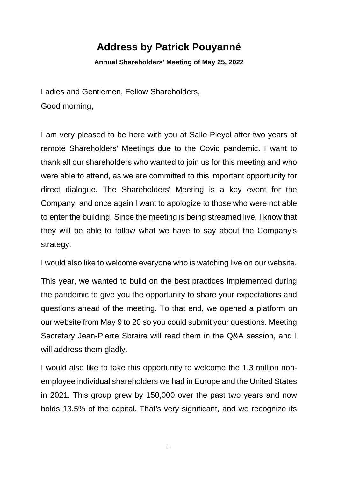## **Address by Patrick Pouyanné**

**Annual Shareholders' Meeting of May 25, 2022**

Ladies and Gentlemen, Fellow Shareholders, Good morning,

I am very pleased to be here with you at Salle Pleyel after two years of remote Shareholders' Meetings due to the Covid pandemic. I want to thank all our shareholders who wanted to join us for this meeting and who were able to attend, as we are committed to this important opportunity for direct dialogue. The Shareholders' Meeting is a key event for the Company, and once again I want to apologize to those who were not able to enter the building. Since the meeting is being streamed live, I know that they will be able to follow what we have to say about the Company's strategy.

I would also like to welcome everyone who is watching live on our website.

This year, we wanted to build on the best practices implemented during the pandemic to give you the opportunity to share your expectations and questions ahead of the meeting. To that end, we opened a platform on our website from May 9 to 20 so you could submit your questions. Meeting Secretary Jean-Pierre Sbraire will read them in the Q&A session, and I will address them gladly.

I would also like to take this opportunity to welcome the 1.3 million nonemployee individual shareholders we had in Europe and the United States in 2021. This group grew by 150,000 over the past two years and now holds 13.5% of the capital. That's very significant, and we recognize its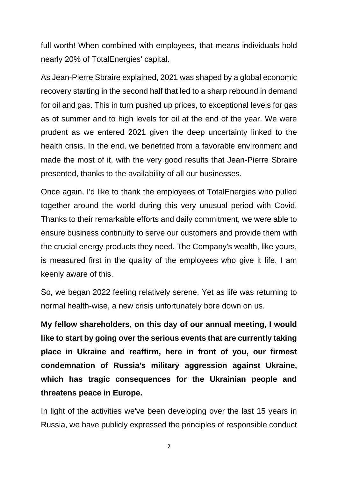full worth! When combined with employees, that means individuals hold nearly 20% of TotalEnergies' capital.

As Jean-Pierre Sbraire explained, 2021 was shaped by a global economic recovery starting in the second half that led to a sharp rebound in demand for oil and gas. This in turn pushed up prices, to exceptional levels for gas as of summer and to high levels for oil at the end of the year. We were prudent as we entered 2021 given the deep uncertainty linked to the health crisis. In the end, we benefited from a favorable environment and made the most of it, with the very good results that Jean-Pierre Sbraire presented, thanks to the availability of all our businesses.

Once again, I'd like to thank the employees of TotalEnergies who pulled together around the world during this very unusual period with Covid. Thanks to their remarkable efforts and daily commitment, we were able to ensure business continuity to serve our customers and provide them with the crucial energy products they need. The Company's wealth, like yours, is measured first in the quality of the employees who give it life. I am keenly aware of this.

So, we began 2022 feeling relatively serene. Yet as life was returning to normal health-wise, a new crisis unfortunately bore down on us.

**My fellow shareholders, on this day of our annual meeting, I would like to start by going over the serious events that are currently taking place in Ukraine and reaffirm, here in front of you, our firmest condemnation of Russia's military aggression against Ukraine, which has tragic consequences for the Ukrainian people and threatens peace in Europe.**

In light of the activities we've been developing over the last 15 years in Russia, we have publicly expressed the principles of responsible conduct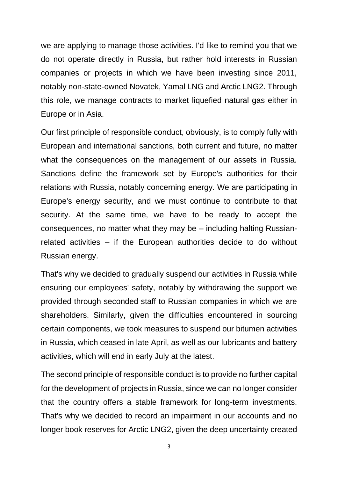we are applying to manage those activities. I'd like to remind you that we do not operate directly in Russia, but rather hold interests in Russian companies or projects in which we have been investing since 2011, notably non-state-owned Novatek, Yamal LNG and Arctic LNG2. Through this role, we manage contracts to market liquefied natural gas either in Europe or in Asia.

Our first principle of responsible conduct, obviously, is to comply fully with European and international sanctions, both current and future, no matter what the consequences on the management of our assets in Russia. Sanctions define the framework set by Europe's authorities for their relations with Russia, notably concerning energy. We are participating in Europe's energy security, and we must continue to contribute to that security. At the same time, we have to be ready to accept the consequences, no matter what they may be – including halting Russianrelated activities – if the European authorities decide to do without Russian energy.

That's why we decided to gradually suspend our activities in Russia while ensuring our employees' safety, notably by withdrawing the support we provided through seconded staff to Russian companies in which we are shareholders. Similarly, given the difficulties encountered in sourcing certain components, we took measures to suspend our bitumen activities in Russia, which ceased in late April, as well as our lubricants and battery activities, which will end in early July at the latest.

The second principle of responsible conduct is to provide no further capital for the development of projects in Russia, since we can no longer consider that the country offers a stable framework for long-term investments. That's why we decided to record an impairment in our accounts and no longer book reserves for Arctic LNG2, given the deep uncertainty created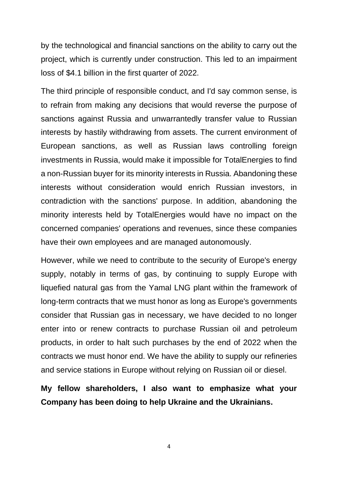by the technological and financial sanctions on the ability to carry out the project, which is currently under construction. This led to an impairment loss of \$4.1 billion in the first quarter of 2022.

The third principle of responsible conduct, and I'd say common sense, is to refrain from making any decisions that would reverse the purpose of sanctions against Russia and unwarrantedly transfer value to Russian interests by hastily withdrawing from assets. The current environment of European sanctions, as well as Russian laws controlling foreign investments in Russia, would make it impossible for TotalEnergies to find a non-Russian buyer for its minority interests in Russia. Abandoning these interests without consideration would enrich Russian investors, in contradiction with the sanctions' purpose. In addition, abandoning the minority interests held by TotalEnergies would have no impact on the concerned companies' operations and revenues, since these companies have their own employees and are managed autonomously.

However, while we need to contribute to the security of Europe's energy supply, notably in terms of gas, by continuing to supply Europe with liquefied natural gas from the Yamal LNG plant within the framework of long-term contracts that we must honor as long as Europe's governments consider that Russian gas in necessary, we have decided to no longer enter into or renew contracts to purchase Russian oil and petroleum products, in order to halt such purchases by the end of 2022 when the contracts we must honor end. We have the ability to supply our refineries and service stations in Europe without relying on Russian oil or diesel.

**My fellow shareholders, I also want to emphasize what your Company has been doing to help Ukraine and the Ukrainians.**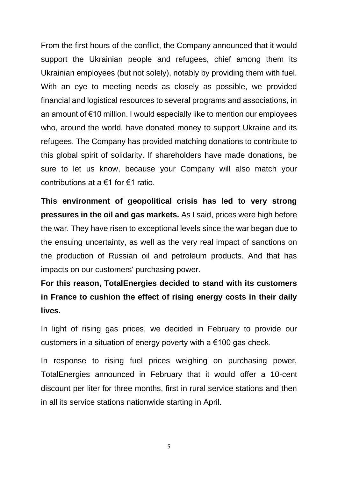From the first hours of the conflict, the Company announced that it would support the Ukrainian people and refugees, chief among them its Ukrainian employees (but not solely), notably by providing them with fuel. With an eye to meeting needs as closely as possible, we provided financial and logistical resources to several programs and associations, in an amount of €10 million. I would especially like to mention our employees who, around the world, have donated money to support Ukraine and its refugees. The Company has provided matching donations to contribute to this global spirit of solidarity. If shareholders have made donations, be sure to let us know, because your Company will also match your contributions at a €1 for €1 ratio.

**This environment of geopolitical crisis has led to very strong pressures in the oil and gas markets.** As I said, prices were high before the war. They have risen to exceptional levels since the war began due to the ensuing uncertainty, as well as the very real impact of sanctions on the production of Russian oil and petroleum products. And that has impacts on our customers' purchasing power.

**For this reason, TotalEnergies decided to stand with its customers in France to cushion the effect of rising energy costs in their daily lives.**

In light of rising gas prices, we decided in February to provide our customers in a situation of energy poverty with a €100 gas check.

In response to rising fuel prices weighing on purchasing power, TotalEnergies announced in February that it would offer a 10-cent discount per liter for three months, first in rural service stations and then in all its service stations nationwide starting in April.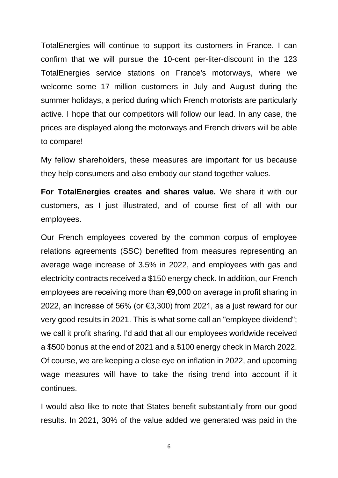TotalEnergies will continue to support its customers in France. I can confirm that we will pursue the 10-cent per-liter-discount in the 123 TotalEnergies service stations on France's motorways, where we welcome some 17 million customers in July and August during the summer holidays, a period during which French motorists are particularly active. I hope that our competitors will follow our lead. In any case, the prices are displayed along the motorways and French drivers will be able to compare!

My fellow shareholders, these measures are important for us because they help consumers and also embody our stand together values.

**For TotalEnergies creates and shares value.** We share it with our customers, as I just illustrated, and of course first of all with our employees.

Our French employees covered by the common corpus of employee relations agreements (SSC) benefited from measures representing an average wage increase of 3.5% in 2022, and employees with gas and electricity contracts received a \$150 energy check. In addition, our French employees are receiving more than €9,000 on average in profit sharing in 2022, an increase of 56% (or €3,300) from 2021, as a just reward for our very good results in 2021. This is what some call an "employee dividend"; we call it profit sharing. I'd add that all our employees worldwide received a \$500 bonus at the end of 2021 and a \$100 energy check in March 2022. Of course, we are keeping a close eye on inflation in 2022, and upcoming wage measures will have to take the rising trend into account if it continues.

I would also like to note that States benefit substantially from our good results. In 2021, 30% of the value added we generated was paid in the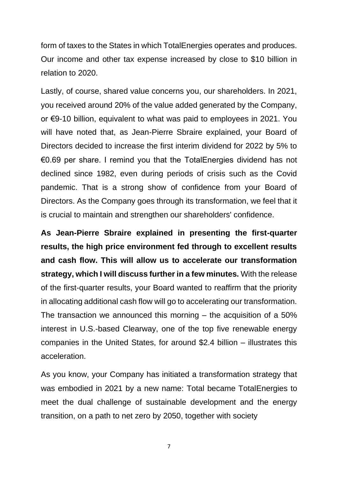form of taxes to the States in which TotalEnergies operates and produces. Our income and other tax expense increased by close to \$10 billion in relation to 2020.

Lastly, of course, shared value concerns you, our shareholders. In 2021, you received around 20% of the value added generated by the Company, or €9-10 billion, equivalent to what was paid to employees in 2021. You will have noted that, as Jean-Pierre Sbraire explained, your Board of Directors decided to increase the first interim dividend for 2022 by 5% to €0.69 per share. I remind you that the TotalEnergies dividend has not declined since 1982, even during periods of crisis such as the Covid pandemic. That is a strong show of confidence from your Board of Directors. As the Company goes through its transformation, we feel that it is crucial to maintain and strengthen our shareholders' confidence.

**As Jean-Pierre Sbraire explained in presenting the first-quarter results, the high price environment fed through to excellent results and cash flow. This will allow us to accelerate our transformation strategy, which I will discuss further in a few minutes.** With the release of the first-quarter results, your Board wanted to reaffirm that the priority in allocating additional cash flow will go to accelerating our transformation. The transaction we announced this morning – the acquisition of a 50% interest in U.S.-based Clearway, one of the top five renewable energy companies in the United States, for around \$2.4 billion – illustrates this acceleration.

As you know, your Company has initiated a transformation strategy that was embodied in 2021 by a new name: Total became TotalEnergies to meet the dual challenge of sustainable development and the energy transition, on a path to net zero by 2050, together with society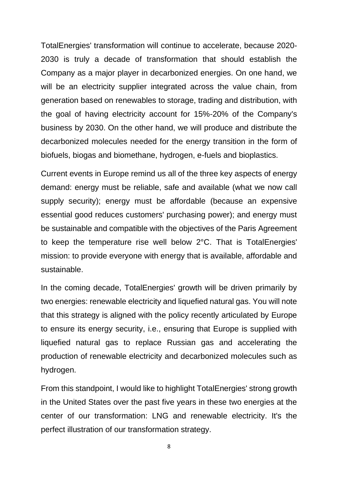TotalEnergies' transformation will continue to accelerate, because 2020- 2030 is truly a decade of transformation that should establish the Company as a major player in decarbonized energies. On one hand, we will be an electricity supplier integrated across the value chain, from generation based on renewables to storage, trading and distribution, with the goal of having electricity account for 15%-20% of the Company's business by 2030. On the other hand, we will produce and distribute the decarbonized molecules needed for the energy transition in the form of biofuels, biogas and biomethane, hydrogen, e-fuels and bioplastics.

Current events in Europe remind us all of the three key aspects of energy demand: energy must be reliable, safe and available (what we now call supply security); energy must be affordable (because an expensive essential good reduces customers' purchasing power); and energy must be sustainable and compatible with the objectives of the Paris Agreement to keep the temperature rise well below 2°C. That is TotalEnergies' mission: to provide everyone with energy that is available, affordable and sustainable.

In the coming decade, TotalEnergies' growth will be driven primarily by two energies: renewable electricity and liquefied natural gas. You will note that this strategy is aligned with the policy recently articulated by Europe to ensure its energy security, i.e., ensuring that Europe is supplied with liquefied natural gas to replace Russian gas and accelerating the production of renewable electricity and decarbonized molecules such as hydrogen.

From this standpoint, I would like to highlight TotalEnergies' strong growth in the United States over the past five years in these two energies at the center of our transformation: LNG and renewable electricity. It's the perfect illustration of our transformation strategy.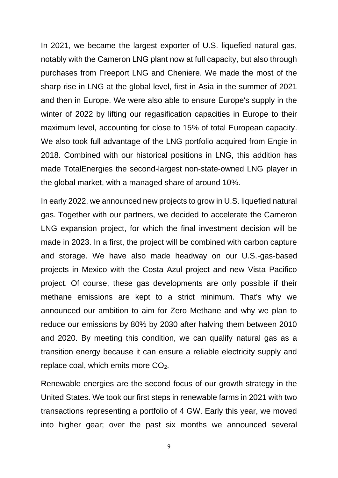In 2021, we became the largest exporter of U.S. liquefied natural gas, notably with the Cameron LNG plant now at full capacity, but also through purchases from Freeport LNG and Cheniere. We made the most of the sharp rise in LNG at the global level, first in Asia in the summer of 2021 and then in Europe. We were also able to ensure Europe's supply in the winter of 2022 by lifting our regasification capacities in Europe to their maximum level, accounting for close to 15% of total European capacity. We also took full advantage of the LNG portfolio acquired from Engie in 2018. Combined with our historical positions in LNG, this addition has made TotalEnergies the second-largest non-state-owned LNG player in the global market, with a managed share of around 10%.

In early 2022, we announced new projects to grow in U.S. liquefied natural gas. Together with our partners, we decided to accelerate the Cameron LNG expansion project, for which the final investment decision will be made in 2023. In a first, the project will be combined with carbon capture and storage. We have also made headway on our U.S.-gas-based projects in Mexico with the Costa Azul project and new Vista Pacifico project. Of course, these gas developments are only possible if their methane emissions are kept to a strict minimum. That's why we announced our ambition to aim for Zero Methane and why we plan to reduce our emissions by 80% by 2030 after halving them between 2010 and 2020. By meeting this condition, we can qualify natural gas as a transition energy because it can ensure a reliable electricity supply and replace coal, which emits more  $CO<sub>2</sub>$ .

Renewable energies are the second focus of our growth strategy in the United States. We took our first steps in renewable farms in 2021 with two transactions representing a portfolio of 4 GW. Early this year, we moved into higher gear; over the past six months we announced several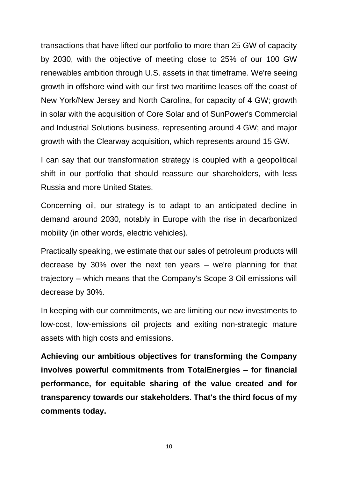transactions that have lifted our portfolio to more than 25 GW of capacity by 2030, with the objective of meeting close to 25% of our 100 GW renewables ambition through U.S. assets in that timeframe. We're seeing growth in offshore wind with our first two maritime leases off the coast of New York/New Jersey and North Carolina, for capacity of 4 GW; growth in solar with the acquisition of Core Solar and of SunPower's Commercial and Industrial Solutions business, representing around 4 GW; and major growth with the Clearway acquisition, which represents around 15 GW.

I can say that our transformation strategy is coupled with a geopolitical shift in our portfolio that should reassure our shareholders, with less Russia and more United States.

Concerning oil, our strategy is to adapt to an anticipated decline in demand around 2030, notably in Europe with the rise in decarbonized mobility (in other words, electric vehicles).

Practically speaking, we estimate that our sales of petroleum products will decrease by 30% over the next ten years – we're planning for that trajectory – which means that the Company's Scope 3 Oil emissions will decrease by 30%.

In keeping with our commitments, we are limiting our new investments to low-cost, low-emissions oil projects and exiting non-strategic mature assets with high costs and emissions.

**Achieving our ambitious objectives for transforming the Company involves powerful commitments from TotalEnergies – for financial performance, for equitable sharing of the value created and for transparency towards our stakeholders. That's the third focus of my comments today.**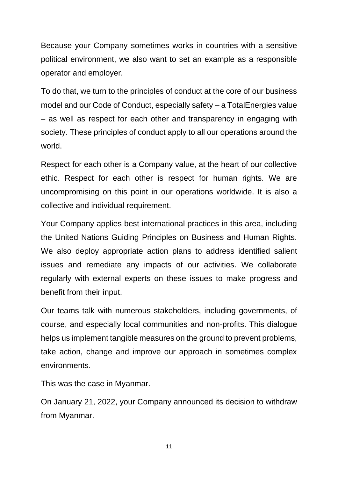Because your Company sometimes works in countries with a sensitive political environment, we also want to set an example as a responsible operator and employer.

To do that, we turn to the principles of conduct at the core of our business model and our Code of Conduct, especially safety – a TotalEnergies value – as well as respect for each other and transparency in engaging with society. These principles of conduct apply to all our operations around the world.

Respect for each other is a Company value, at the heart of our collective ethic. Respect for each other is respect for human rights. We are uncompromising on this point in our operations worldwide. It is also a collective and individual requirement.

Your Company applies best international practices in this area, including the United Nations Guiding Principles on Business and Human Rights. We also deploy appropriate action plans to address identified salient issues and remediate any impacts of our activities. We collaborate regularly with external experts on these issues to make progress and benefit from their input.

Our teams talk with numerous stakeholders, including governments, of course, and especially local communities and non-profits. This dialogue helps us implement tangible measures on the ground to prevent problems, take action, change and improve our approach in sometimes complex environments.

This was the case in Myanmar.

On January 21, 2022, your Company announced its decision to withdraw from Myanmar.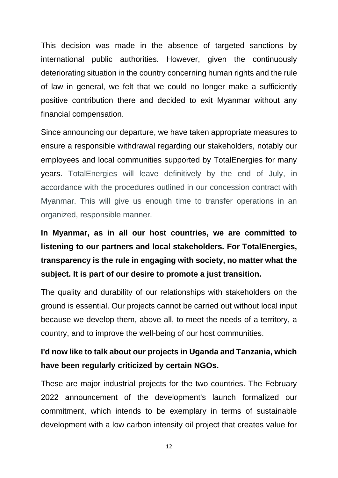This decision was made in the absence of targeted sanctions by international public authorities. However, given the continuously deteriorating situation in the country concerning human rights and the rule of law in general, we felt that we could no longer make a sufficiently positive contribution there and decided to exit Myanmar without any financial compensation.

Since announcing our departure, we have taken appropriate measures to ensure a responsible withdrawal regarding our stakeholders, notably our employees and local communities supported by TotalEnergies for many years. TotalEnergies will leave definitively by the end of July, in accordance with the procedures outlined in our concession contract with Myanmar. This will give us enough time to transfer operations in an organized, responsible manner.

## **In Myanmar, as in all our host countries, we are committed to listening to our partners and local stakeholders. For TotalEnergies, transparency is the rule in engaging with society, no matter what the subject. It is part of our desire to promote a just transition.**

The quality and durability of our relationships with stakeholders on the ground is essential. Our projects cannot be carried out without local input because we develop them, above all, to meet the needs of a territory, a country, and to improve the well-being of our host communities.

## **I'd now like to talk about our projects in Uganda and Tanzania, which have been regularly criticized by certain NGOs.**

These are major industrial projects for the two countries. The February 2022 announcement of the development's launch formalized our commitment, which intends to be exemplary in terms of sustainable development with a low carbon intensity oil project that creates value for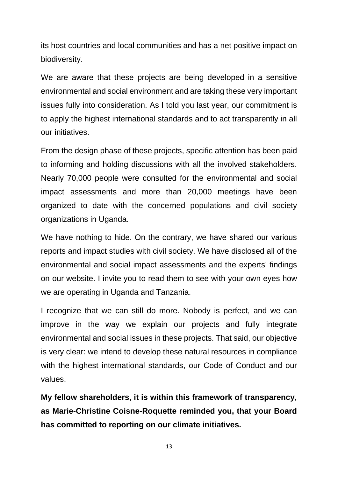its host countries and local communities and has a net positive impact on biodiversity.

We are aware that these projects are being developed in a sensitive environmental and social environment and are taking these very important issues fully into consideration. As I told you last year, our commitment is to apply the highest international standards and to act transparently in all our initiatives.

From the design phase of these projects, specific attention has been paid to informing and holding discussions with all the involved stakeholders. Nearly 70,000 people were consulted for the environmental and social impact assessments and more than 20,000 meetings have been organized to date with the concerned populations and civil society organizations in Uganda.

We have nothing to hide. On the contrary, we have shared our various reports and impact studies with civil society. We have disclosed all of the environmental and social impact assessments and the experts' findings on our website. I invite you to read them to see with your own eyes how we are operating in Uganda and Tanzania.

I recognize that we can still do more. Nobody is perfect, and we can improve in the way we explain our projects and fully integrate environmental and social issues in these projects. That said, our objective is very clear: we intend to develop these natural resources in compliance with the highest international standards, our Code of Conduct and our values.

**My fellow shareholders, it is within this framework of transparency, as Marie-Christine Coisne-Roquette reminded you, that your Board has committed to reporting on our climate initiatives.**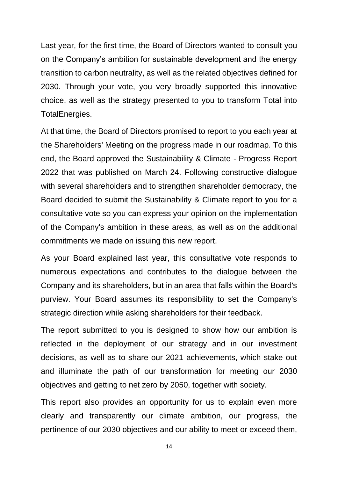Last year, for the first time, the Board of Directors wanted to consult you on the Company's ambition for sustainable development and the energy transition to carbon neutrality, as well as the related objectives defined for 2030. Through your vote, you very broadly supported this innovative choice, as well as the strategy presented to you to transform Total into TotalEnergies.

At that time, the Board of Directors promised to report to you each year at the Shareholders' Meeting on the progress made in our roadmap. To this end, the Board approved the Sustainability & Climate - Progress Report 2022 that was published on March 24. Following constructive dialogue with several shareholders and to strengthen shareholder democracy, the Board decided to submit the Sustainability & Climate report to you for a consultative vote so you can express your opinion on the implementation of the Company's ambition in these areas, as well as on the additional commitments we made on issuing this new report.

As your Board explained last year, this consultative vote responds to numerous expectations and contributes to the dialogue between the Company and its shareholders, but in an area that falls within the Board's purview. Your Board assumes its responsibility to set the Company's strategic direction while asking shareholders for their feedback.

The report submitted to you is designed to show how our ambition is reflected in the deployment of our strategy and in our investment decisions, as well as to share our 2021 achievements, which stake out and illuminate the path of our transformation for meeting our 2030 objectives and getting to net zero by 2050, together with society.

This report also provides an opportunity for us to explain even more clearly and transparently our climate ambition, our progress, the pertinence of our 2030 objectives and our ability to meet or exceed them,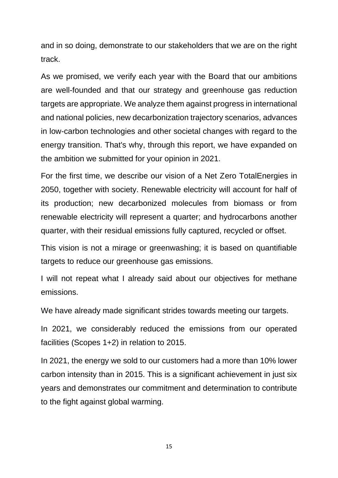and in so doing, demonstrate to our stakeholders that we are on the right track.

As we promised, we verify each year with the Board that our ambitions are well-founded and that our strategy and greenhouse gas reduction targets are appropriate. We analyze them against progress in international and national policies, new decarbonization trajectory scenarios, advances in low-carbon technologies and other societal changes with regard to the energy transition. That's why, through this report, we have expanded on the ambition we submitted for your opinion in 2021.

For the first time, we describe our vision of a Net Zero TotalEnergies in 2050, together with society. Renewable electricity will account for half of its production; new decarbonized molecules from biomass or from renewable electricity will represent a quarter; and hydrocarbons another quarter, with their residual emissions fully captured, recycled or offset.

This vision is not a mirage or greenwashing; it is based on quantifiable targets to reduce our greenhouse gas emissions.

I will not repeat what I already said about our objectives for methane emissions.

We have already made significant strides towards meeting our targets.

In 2021, we considerably reduced the emissions from our operated facilities (Scopes 1+2) in relation to 2015.

In 2021, the energy we sold to our customers had a more than 10% lower carbon intensity than in 2015. This is a significant achievement in just six years and demonstrates our commitment and determination to contribute to the fight against global warming.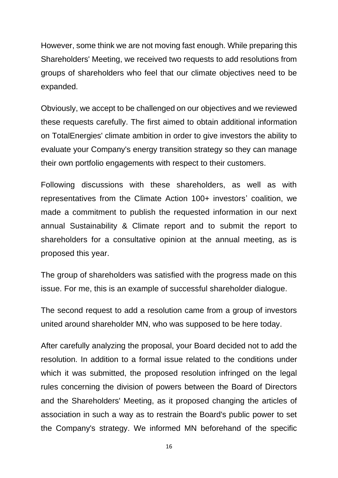However, some think we are not moving fast enough. While preparing this Shareholders' Meeting, we received two requests to add resolutions from groups of shareholders who feel that our climate objectives need to be expanded.

Obviously, we accept to be challenged on our objectives and we reviewed these requests carefully. The first aimed to obtain additional information on TotalEnergies' climate ambition in order to give investors the ability to evaluate your Company's energy transition strategy so they can manage their own portfolio engagements with respect to their customers.

Following discussions with these shareholders, as well as with representatives from the Climate Action 100+ investors' coalition, we made a commitment to publish the requested information in our next annual Sustainability & Climate report and to submit the report to shareholders for a consultative opinion at the annual meeting, as is proposed this year.

The group of shareholders was satisfied with the progress made on this issue. For me, this is an example of successful shareholder dialogue.

The second request to add a resolution came from a group of investors united around shareholder MN, who was supposed to be here today.

After carefully analyzing the proposal, your Board decided not to add the resolution. In addition to a formal issue related to the conditions under which it was submitted, the proposed resolution infringed on the legal rules concerning the division of powers between the Board of Directors and the Shareholders' Meeting, as it proposed changing the articles of association in such a way as to restrain the Board's public power to set the Company's strategy. We informed MN beforehand of the specific